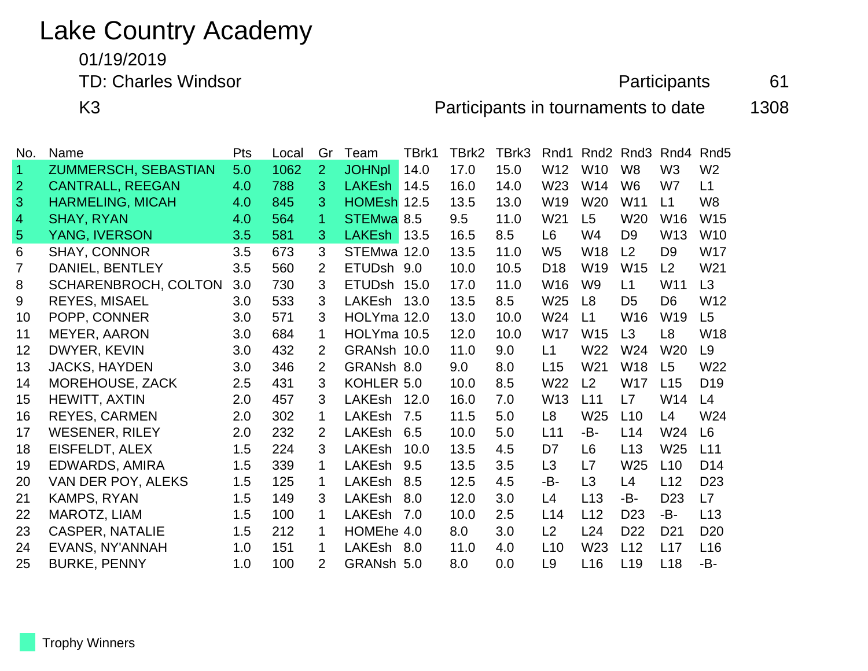## Lake Country Academy

01/19/2019

TD: Charles Windsor **Charles Windsor Participants** 61

K3 Participants in tournaments to date 1308

| <b>Name</b>                 | Pts | Local | Gr             | Team          | TBrk1 | TBrk2                                                                                                                                                                 | TBrk3 | Rnd1            |                 | Rnd3            | Rnd4             | Rnd <sub>5</sub> |
|-----------------------------|-----|-------|----------------|---------------|-------|-----------------------------------------------------------------------------------------------------------------------------------------------------------------------|-------|-----------------|-----------------|-----------------|------------------|------------------|
| ZUMMERSCH, SEBASTIAN        | 5.0 | 1062  | $\overline{2}$ | <b>JOHNpl</b> | 14.0  | 17.0                                                                                                                                                                  | 15.0  | W12             | <b>W10</b>      | W <sub>8</sub>  | W <sub>3</sub>   | W <sub>2</sub>   |
| <b>CANTRALL, REEGAN</b>     | 4.0 | 788   | 3              | <b>LAKEsh</b> | 14.5  | 16.0                                                                                                                                                                  | 14.0  | W <sub>23</sub> | W14             | W <sub>6</sub>  | W7               | L1               |
| <b>HARMELING, MICAH</b>     | 4.0 | 845   | 3              |               | 12.5  | 13.5                                                                                                                                                                  | 13.0  | W <sub>19</sub> | W <sub>20</sub> | W11             | L1               | W <sub>8</sub>   |
| <b>SHAY, RYAN</b>           | 4.0 | 564   | 1              |               |       | 9.5                                                                                                                                                                   | 11.0  | W21             | L <sub>5</sub>  | W <sub>20</sub> | W16              | W <sub>15</sub>  |
| YANG, IVERSON               | 3.5 | 581   | 3              | <b>LAKEsh</b> | 13.5  | 16.5                                                                                                                                                                  | 8.5   | L <sub>6</sub>  | W4              | D <sub>9</sub>  | W13              | W <sub>10</sub>  |
| <b>SHAY, CONNOR</b>         | 3.5 | 673   | 3              |               |       | 13.5                                                                                                                                                                  | 11.0  | W <sub>5</sub>  | <b>W18</b>      | L <sub>2</sub>  | D <sub>9</sub>   | W17              |
| DANIEL, BENTLEY             | 3.5 | 560   | $\overline{2}$ |               |       | 10.0                                                                                                                                                                  | 10.5  | D <sub>18</sub> | W <sub>19</sub> | <b>W15</b>      | L <sub>2</sub>   | W21              |
| <b>SCHARENBROCH, COLTON</b> | 3.0 | 730   | 3              | <b>ETUDsh</b> |       | 17.0                                                                                                                                                                  | 11.0  | W16             | W <sub>9</sub>  | L1              | W11              | L3               |
| <b>REYES, MISAEL</b>        | 3.0 | 533   | 3              | LAKEsh        | 13.0  | 13.5                                                                                                                                                                  | 8.5   | W25             | L8              | D <sub>5</sub>  | D <sub>6</sub>   | W12              |
| POPP, CONNER                | 3.0 | 571   | 3              |               |       | 13.0                                                                                                                                                                  | 10.0  | W24             | L1              | W16             | W <sub>19</sub>  | L5               |
| <b>MEYER, AARON</b>         | 3.0 | 684   | 1              |               |       | 12.0                                                                                                                                                                  | 10.0  | <b>W17</b>      | W <sub>15</sub> | L3              | L <sub>8</sub>   | W18              |
| DWYER, KEVIN                | 3.0 | 432   | 2              |               |       | 11.0                                                                                                                                                                  | 9.0   | L1              | W22             | W24             | W <sub>20</sub>  | L <sub>9</sub>   |
| <b>JACKS, HAYDEN</b>        | 3.0 | 346   | $\overline{2}$ |               |       | 9.0                                                                                                                                                                   | 8.0   | L15             | W <sub>21</sub> | W18             | L5               | W <sub>22</sub>  |
| MOREHOUSE, ZACK             | 2.5 | 431   | 3              |               |       | 10.0                                                                                                                                                                  | 8.5   | W <sub>22</sub> | L <sub>2</sub>  | W17             | L15              | D <sub>19</sub>  |
| HEWITT, AXTIN               | 2.0 | 457   | 3              | <b>LAKEsh</b> | 12.0  | 16.0                                                                                                                                                                  | 7.0   | W13             | L11             | L7              | W14              | L4               |
| <b>REYES, CARMEN</b>        | 2.0 | 302   | 1              | <b>LAKEsh</b> | 7.5   | 11.5                                                                                                                                                                  | 5.0   | L <sub>8</sub>  | W25             | L10             | L4               | W24              |
| <b>WESENER, RILEY</b>       | 2.0 | 232   | 2              | <b>LAKEsh</b> | 6.5   | 10.0                                                                                                                                                                  | 5.0   | L11             | -B-             | L14             | W24              | L <sub>6</sub>   |
| EISFELDT, ALEX              | 1.5 | 224   | 3              | <b>LAKEsh</b> | 10.0  | 13.5                                                                                                                                                                  | 4.5   | D <sub>7</sub>  | L6              | L13             | W <sub>25</sub>  | L11              |
| EDWARDS, AMIRA              | 1.5 | 339   | 1              | <b>LAKEsh</b> | 9.5   | 13.5                                                                                                                                                                  | 3.5   | L <sub>3</sub>  | L7              | W25             | L10              | D <sub>14</sub>  |
| VAN DER POY, ALEKS          | 1.5 | 125   | 1.             | <b>LAKEsh</b> | 8.5   | 12.5                                                                                                                                                                  | 4.5   | -B-             | L3              | L4              | L12              | D <sub>23</sub>  |
| KAMPS, RYAN                 | 1.5 | 149   | 3              | LAKEsh        | 8.0   | 12.0                                                                                                                                                                  | 3.0   | L4              | L13             | -B-             | D <sub>23</sub>  | L7               |
| MAROTZ, LIAM                | 1.5 | 100   | 1              | <b>LAKEsh</b> | 7.0   | 10.0                                                                                                                                                                  | 2.5   | L14             | L12             | D <sub>23</sub> | -B-              | L13              |
| <b>CASPER, NATALIE</b>      | 1.5 | 212   | 1              |               |       | 8.0                                                                                                                                                                   | 3.0   | L2              | L24             | D <sub>22</sub> | D <sub>21</sub>  | D <sub>20</sub>  |
| EVANS, NY'ANNAH             | 1.0 | 151   | 1              | LAKEsh        | 8.0   | 11.0                                                                                                                                                                  | 4.0   | L10             | W23             | L12             | L17              | L <sub>16</sub>  |
| <b>BURKE, PENNY</b>         | 1.0 | 100   | 2              |               |       | 8.0                                                                                                                                                                   | 0.0   | L <sub>9</sub>  | L16             | L19             | L18              | -B-              |
|                             |     |       |                |               |       | <b>HOMEsh</b><br>STEMwa 8.5<br>STEMwa 12.0<br>ETUDsh 9.0<br>15.0<br>HOLYma 12.0<br>HOLYma 10.5<br>GRANsh 10.0<br>GRANsh 8.0<br>KOHLER 5.0<br>HOMEhe 4.0<br>GRANsh 5.0 |       |                 |                 |                 | Rnd <sub>2</sub> |                  |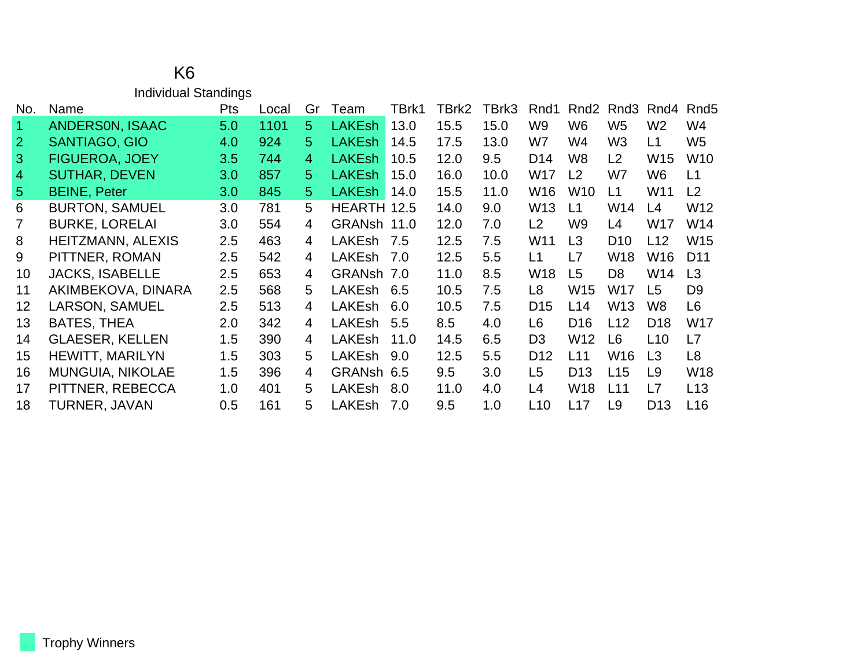|                   | <b>Individual Standings</b> |            |       |    |               |       |       |       |                 |                  |                  |                 |                  |
|-------------------|-----------------------------|------------|-------|----|---------------|-------|-------|-------|-----------------|------------------|------------------|-----------------|------------------|
| No.               | Name                        | <b>Pts</b> | Local | Gr | Team          | TBrk1 | TBrk2 | TBrk3 | Rnd1            | Rnd <sub>2</sub> | Rnd <sub>3</sub> | Rnd4            | Rnd <sub>5</sub> |
| $\mathbf 1$       | <b>ANDERSON, ISAAC</b>      | 5.0        | 1101  | 5  | <b>LAKEsh</b> | 13.0  | 15.5  | 15.0  | W <sub>9</sub>  | W <sub>6</sub>   | W <sub>5</sub>   | W <sub>2</sub>  | W4               |
| $\overline{2}$    | <b>SANTIAGO, GIO</b>        | 4.0        | 924   | 5. | <b>LAKEsh</b> | 14.5  | 17.5  | 13.0  | W7              | W4               | W <sub>3</sub>   | L1              | W <sub>5</sub>   |
| 3 <sup>2</sup>    | <b>FIGUEROA, JOEY</b>       | 3.5        | 744   | 4  | <b>LAKEsh</b> | 10.5  | 12.0  | 9.5   | D <sub>14</sub> | W <sub>8</sub>   | L <sub>2</sub>   | W <sub>15</sub> | W <sub>10</sub>  |
| $\overline{4}$    | <b>SUTHAR, DEVEN</b>        | 3.0        | 857   | 5. | <b>LAKEsh</b> | 15.0  | 16.0  | 10.0  | <b>W17</b>      | L2               | W7               | W <sub>6</sub>  | L1               |
| 5 <sup>5</sup>    | <b>BEINE, Peter</b>         | 3.0        | 845   | 5  | <b>LAKEsh</b> | 14.0  | 15.5  | 11.0  | W16             | W <sub>10</sub>  | L1               | W11             | L2               |
| 6                 | <b>BURTON, SAMUEL</b>       | 3.0        | 781   | 5  | HEARTH 12.5   |       | 14.0  | 9.0   | W <sub>13</sub> | L1               | W14              | L4              | W12              |
| $\overline{7}$    | <b>BURKE, LORELAI</b>       | 3.0        | 554   | 4  | GRANsh 11.0   |       | 12.0  | 7.0   | L2              | W <sub>9</sub>   | L4               | W17             | W14              |
| 8                 | <b>HEITZMANN, ALEXIS</b>    | 2.5        | 463   | 4  | LAKEsh        | 7.5   | 12.5  | 7.5   | W11             | L3               | D <sub>10</sub>  | L12             | W15              |
| 9                 | PITTNER, ROMAN              | 2.5        | 542   | 4  | LAKEsh        | 7.0   | 12.5  | 5.5   | L1              | L7               | <b>W18</b>       | W16             | D <sub>11</sub>  |
| 10                | <b>JACKS, ISABELLE</b>      | 2.5        | 653   | 4  | GRANsh 7.0    |       | 11.0  | 8.5   | W18             | L <sub>5</sub>   | D <sub>8</sub>   | W14             | L3               |
| 11                | AKIMBEKOVA, DINARA          | 2.5        | 568   | 5  | LAKEsh        | 6.5   | 10.5  | 7.5   | L <sub>8</sub>  | W <sub>15</sub>  | <b>W17</b>       | L <sub>5</sub>  | D <sub>9</sub>   |
| $12 \overline{ }$ | <b>LARSON, SAMUEL</b>       | 2.5        | 513   | 4  | LAKEsh        | 6.0   | 10.5  | 7.5   | D <sub>15</sub> | L14              | W <sub>13</sub>  | W8              | L6               |
| 13                | <b>BATES, THEA</b>          | 2.0        | 342   | 4  | <b>LAKEsh</b> | 5.5   | 8.5   | 4.0   | L <sub>6</sub>  | D <sub>16</sub>  | L12              | D <sub>18</sub> | W17              |
| 14                | <b>GLAESER, KELLEN</b>      | 1.5        | 390   | 4  | <b>LAKEsh</b> | 11.0  | 14.5  | 6.5   | D <sub>3</sub>  | W <sub>12</sub>  | L <sub>6</sub>   | L10             | L7               |
| 15                | <b>HEWITT, MARILYN</b>      | 1.5        | 303   | 5  | LAKEsh        | 9.0   | 12.5  | 5.5   | D <sub>12</sub> | L11              | W <sub>16</sub>  | L3              | L8               |
| 16                | <b>MUNGUIA, NIKOLAE</b>     | 1.5        | 396   | 4  | GRANsh 6.5    |       | 9.5   | 3.0   | L5              | D <sub>13</sub>  | L15              | L <sub>9</sub>  | W18              |
| 17                | PITTNER, REBECCA            | 1.0        | 401   | 5  | LAKEsh        | 8.0   | 11.0  | 4.0   | L4              | <b>W18</b>       | L11              | L7              | L13              |
| 18                | TURNER, JAVAN               | 0.5        | 161   | 5  | LAKEsh        | 7.0   | 9.5   | 1.0   | L10             | L17              | L <sub>9</sub>   | D <sub>13</sub> | L <sub>16</sub>  |

K6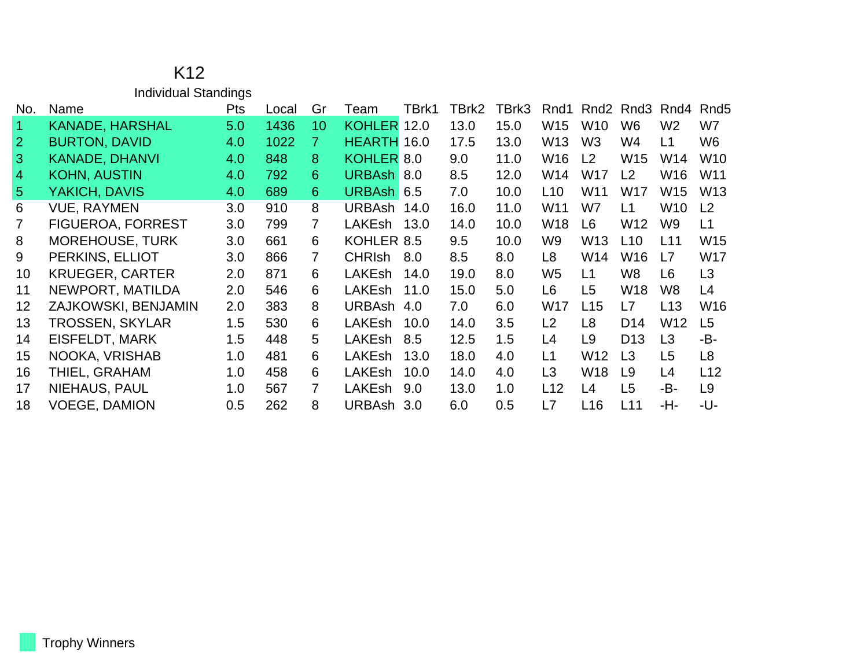|                      | <b>Individual Standings</b> |            |       |                 |               |       |       |       |                 |                 |                                   |                |                  |
|----------------------|-----------------------------|------------|-------|-----------------|---------------|-------|-------|-------|-----------------|-----------------|-----------------------------------|----------------|------------------|
| No.                  | Name                        | <b>Pts</b> | Local | Gr              | Team          | TBrk1 | TBrk2 | TBrk3 | Rnd1            |                 | Rnd <sub>2</sub> Rnd <sub>3</sub> | Rnd4           | Rnd <sub>5</sub> |
| $\blacktriangleleft$ | KANADE, HARSHAL             | 5.0        | 1436  | 10 <sup>°</sup> | <b>KOHLER</b> | 12.0  | 13.0  | 15.0  | W <sub>15</sub> | W <sub>10</sub> | W <sub>6</sub>                    | W <sub>2</sub> | W7               |
| $\overline{2}$       | <b>BURTON, DAVID</b>        | 4.0        | 1022  | 7               | HEARTH 16.0   |       | 17.5  | 13.0  | W <sub>13</sub> | W <sub>3</sub>  | W4                                | L1             | W <sub>6</sub>   |
| 3                    | <b>KANADE, DHANVI</b>       | 4.0        | 848   | 8               | KOHLER 8.0    |       | 9.0   | 11.0  | W <sub>16</sub> | L <sub>2</sub>  | W <sub>15</sub>                   | W14            | W <sub>10</sub>  |
| $\overline{4}$       | <b>KOHN, AUSTIN</b>         | 4.0        | 792   | 6               | URBAsh 8.0    |       | 8.5   | 12.0  | W14             | W17             | L2                                | W16            | W <sub>11</sub>  |
| 5 <sup>5</sup>       | YAKICH, DAVIS               | 4.0        | 689   | 6               | URBAsh 6.5    |       | 7.0   | 10.0  | L10             | W11             | <b>W17</b>                        | W15            | W <sub>13</sub>  |
| 6                    | <b>VUE, RAYMEN</b>          | 3.0        | 910   | 8               | URBAsh 14.0   |       | 16.0  | 11.0  | W11             | W7              | L1                                | W10            | L <sub>2</sub>   |
| 7                    | <b>FIGUEROA, FORREST</b>    | 3.0        | 799   | 7               | LAKEsh        | 13.0  | 14.0  | 10.0  | W <sub>18</sub> | L <sub>6</sub>  | W12                               | W9             | L1               |
| 8                    | <b>MOREHOUSE, TURK</b>      | 3.0        | 661   | 6               | KOHLER 8.5    |       | 9.5   | 10.0  | W9              | W13             | L10                               | L11            | W15              |
| 9                    | PERKINS, ELLIOT             | 3.0        | 866   | $\overline{7}$  | <b>CHRIsh</b> | 8.0   | 8.5   | 8.0   | L <sub>8</sub>  | W14             | W16                               | L7             | W17              |
| 10                   | <b>KRUEGER, CARTER</b>      | 2.0        | 871   | 6               | LAKEsh        | 14.0  | 19.0  | 8.0   | W <sub>5</sub>  | L <sub>1</sub>  | W <sub>8</sub>                    | L6             | L3               |
| 11                   | NEWPORT, MATILDA            | 2.0        | 546   | 6               | LAKEsh        | 11.0  | 15.0  | 5.0   | L <sub>6</sub>  | L <sub>5</sub>  | W <sub>18</sub>                   | W8             | L4               |
| 12                   | ZAJKOWSKI, BENJAMIN         | 2.0        | 383   | 8               | <b>URBAsh</b> | 4.0   | 7.0   | 6.0   | <b>W17</b>      | L15             | L7                                | L13            | W16              |
| 13                   | TROSSEN, SKYLAR             | 1.5        | 530   | 6               | LAKEsh        | 10.0  | 14.0  | 3.5   | L2              | L <sub>8</sub>  | D <sub>14</sub>                   | W12            | L5               |
| 14                   | EISFELDT, MARK              | 1.5        | 448   | 5               | LAKEsh        | 8.5   | 12.5  | 1.5   | L4              | L <sub>9</sub>  | D <sub>13</sub>                   | L <sub>3</sub> | -B-              |
| 15                   | NOOKA, VRISHAB              | 1.0        | 481   | 6               | LAKEsh        | 13.0  | 18.0  | 4.0   | L1              | W12             | L3                                | L <sub>5</sub> | L <sub>8</sub>   |
| 16                   | THIEL, GRAHAM               | 1.0        | 458   | 6               | <b>LAKEsh</b> | 10.0  | 14.0  | 4.0   | L <sub>3</sub>  | W18             | L <sub>9</sub>                    | L4             | L12              |
| 17                   | NIEHAUS, PAUL               | 1.0        | 567   | 7               | LAKEsh        | 9.0   | 13.0  | 1.0   | L12             | L4              | L5                                | -B-            | L <sub>9</sub>   |
| 18                   | <b>VOEGE, DAMION</b>        | 0.5        | 262   | 8               | URBAsh 3.0    |       | 6.0   | 0.5   | L7              | L16             | L11                               | -H-            | -U-              |

K12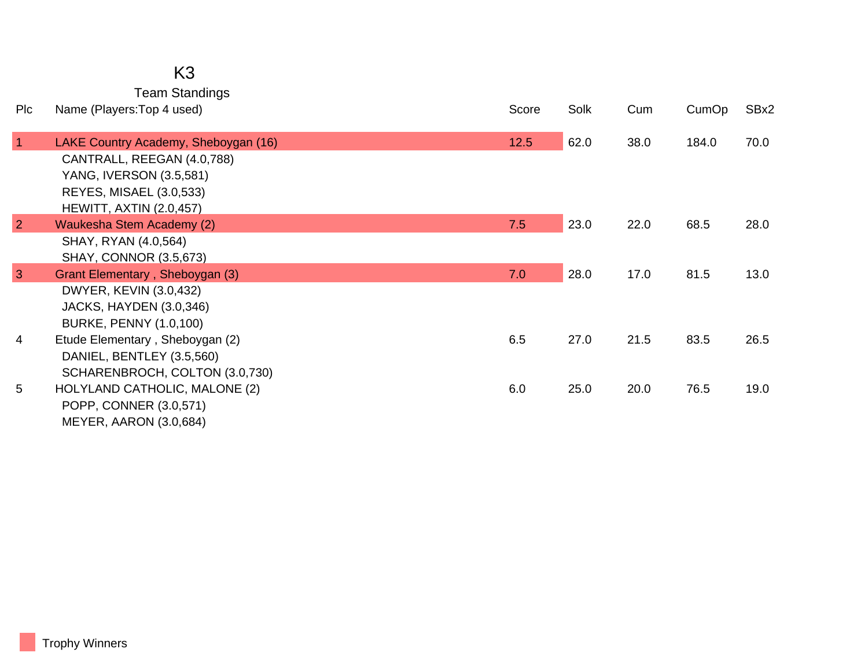## K3 Team Standings

| Plc            | Name (Players: Top 4 used)           | Score | Solk | Cum  | CumOp | SBx2 |
|----------------|--------------------------------------|-------|------|------|-------|------|
| $\mathbf{1}$   | LAKE Country Academy, Sheboygan (16) | 12.5  | 62.0 | 38.0 | 184.0 | 70.0 |
|                | CANTRALL, REEGAN (4.0,788)           |       |      |      |       |      |
|                | YANG, IVERSON (3.5,581)              |       |      |      |       |      |
|                | REYES, MISAEL (3.0,533)              |       |      |      |       |      |
|                | <b>HEWITT, AXTIN (2.0,457)</b>       |       |      |      |       |      |
| $\overline{2}$ | Waukesha Stem Academy (2)            | 7.5   | 23.0 | 22.0 | 68.5  | 28.0 |
|                | SHAY, RYAN (4.0,564)                 |       |      |      |       |      |
|                | <b>SHAY, CONNOR (3.5,673)</b>        |       |      |      |       |      |
| 3              | Grant Elementary, Sheboygan (3)      | 7.0   | 28.0 | 17.0 | 81.5  | 13.0 |
|                | DWYER, KEVIN (3.0,432)               |       |      |      |       |      |
|                | <b>JACKS, HAYDEN (3.0,346)</b>       |       |      |      |       |      |
|                | <b>BURKE, PENNY (1.0,100)</b>        |       |      |      |       |      |
| 4              | Etude Elementary, Sheboygan (2)      | 6.5   | 27.0 | 21.5 | 83.5  | 26.5 |
|                | DANIEL, BENTLEY (3.5,560)            |       |      |      |       |      |
|                | SCHARENBROCH, COLTON (3.0,730)       |       |      |      |       |      |
| 5              | HOLYLAND CATHOLIC, MALONE (2)        | 6.0   | 25.0 | 20.0 | 76.5  | 19.0 |
|                | POPP, CONNER (3.0,571)               |       |      |      |       |      |
|                | MEYER, AARON (3.0,684)               |       |      |      |       |      |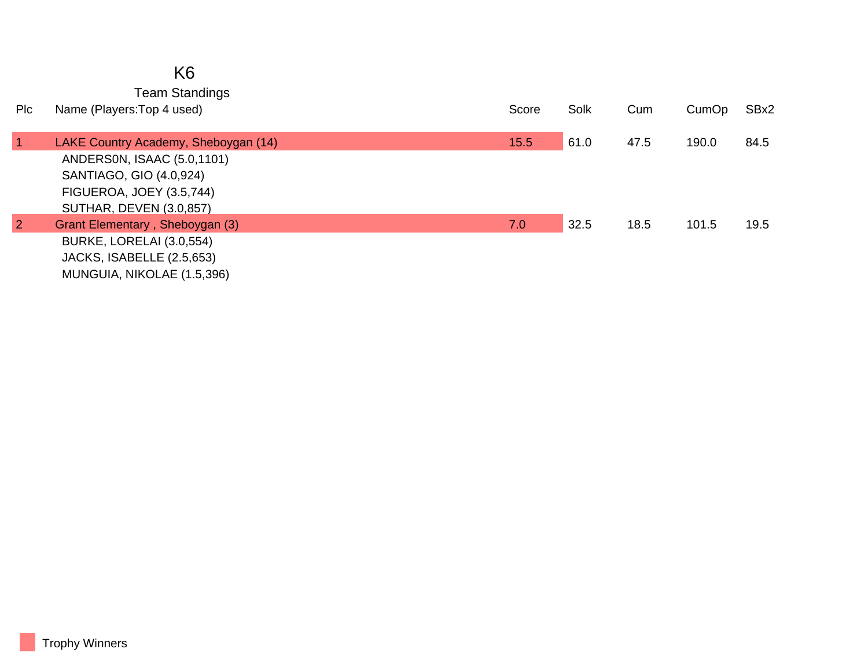|                | K <sub>6</sub>                                      |       |      |      |       |      |
|----------------|-----------------------------------------------------|-------|------|------|-------|------|
| Plc            | <b>Team Standings</b><br>Name (Players: Top 4 used) | Score | Solk | Cum  | CumOp | SBx2 |
| $\vert$ 1      | LAKE Country Academy, Sheboygan (14)                | 15.5  | 61.0 | 47.5 | 190.0 | 84.5 |
|                | ANDERSON, ISAAC (5.0,1101)                          |       |      |      |       |      |
|                | SANTIAGO, GIO (4.0,924)                             |       |      |      |       |      |
|                | FIGUEROA, JOEY (3.5,744)                            |       |      |      |       |      |
|                | <b>SUTHAR, DEVEN (3.0,857)</b>                      |       |      |      |       |      |
| $\overline{2}$ | <b>Grant Elementary, Sheboygan (3)</b>              | 7.0   | 32.5 | 18.5 | 101.5 | 19.5 |
|                | BURKE, LORELAI (3.0,554)                            |       |      |      |       |      |
|                | JACKS, ISABELLE (2.5,653)                           |       |      |      |       |      |
|                | MUNGUIA, NIKOLAE (1.5,396)                          |       |      |      |       |      |